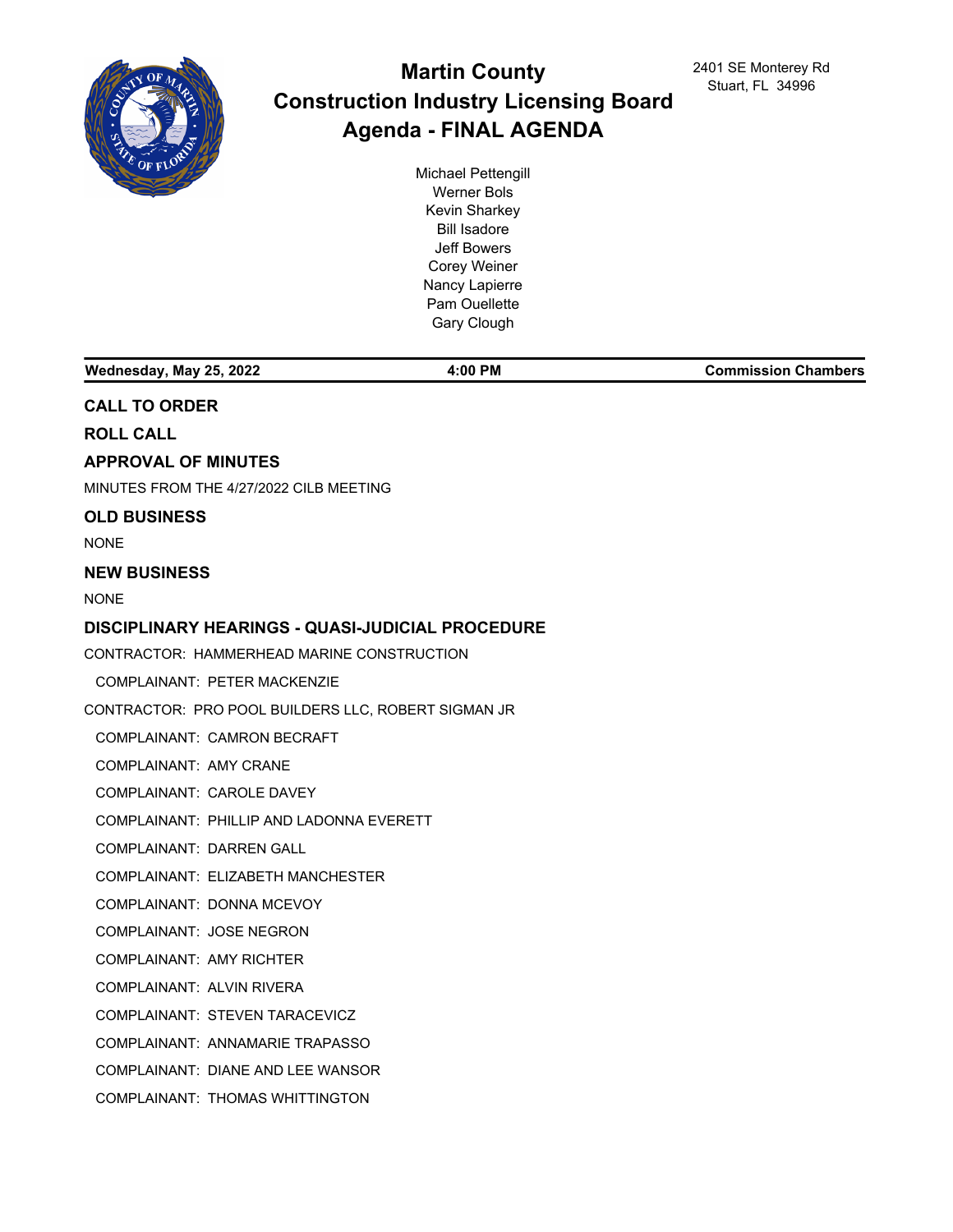

# **Martin County Construction Industry Licensing Board Agenda - FINAL AGENDA**

Michael Pettengill Werner Bols Kevin Sharkey Bill Isadore Jeff Bowers Corey Weiner Nancy Lapierre Pam Ouellette Gary Clough

**Wednesday, May 25, 2022 4:00 PM Commission Chambers CALL TO ORDER ROLL CALL APPROVAL OF MINUTES** MINUTES FROM THE 4/27/2022 CILB MEETING **OLD BUSINESS** NONE **NEW BUSINESS** NONE **DISCIPLINARY HEARINGS - QUASI-JUDICIAL PROCEDURE** CONTRACTOR: HAMMERHEAD MARINE CONSTRUCTION COMPLAINANT: PETER MACKENZIE CONTRACTOR: PRO POOL BUILDERS LLC, ROBERT SIGMAN JR COMPLAINANT: CAMRON BECRAFT COMPLAINANT: AMY CRANE COMPLAINANT: CAROLE DAVEY COMPLAINANT: PHILLIP AND LADONNA EVERETT COMPLAINANT: DARREN GALL COMPLAINANT: ELIZABETH MANCHESTER COMPLAINANT: DONNA MCEVOY COMPLAINANT: JOSE NEGRON COMPLAINANT: AMY RICHTER COMPLAINANT: ALVIN RIVERA COMPLAINANT: STEVEN TARACEVICZ

COMPLAINANT: ANNAMARIE TRAPASSO

COMPLAINANT: DIANE AND LEE WANSOR

COMPLAINANT: THOMAS WHITTINGTON